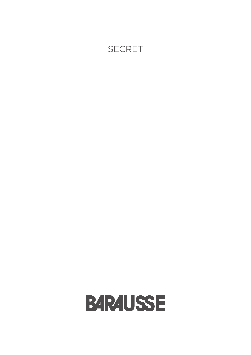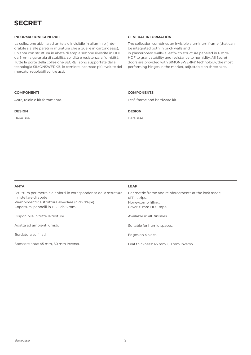### **INFORMAZIONI GENERALI GENERAL INFORMATION**

La collezione abbina ad un telaio invisibile in alluminio (integrabile sia alle pareti in muratura che a quelle in cartongesso), un'anta con struttura in abete di ampia sezione rivestite in HDF da 6mm a garanzia di stabilità, solidità e resistenza all'umidità. Tutte le porte della collezione SECRET sono supportate dalla tecnologia SIMONSWERK®, le cerniere incassate più evolute del mercato, regolabili sui tre assi.

The collection combines an invisible aluminum frame (that can be integrated both in brick walls and in plasterboard walls) a leaf with structure paneled in 6 mm-HDF to grant stability and resistance to humidity. All Secret doors are provided with SIMONSWERK® technology, the most performing hinges in the market, adjustable on three axes.

### **COMPONENTI COMPONENTS**

Anta, telaio e kit ferramenta. Leaf, frame and hardware kit.

**DESIGN DESIGN**

Barausse. Barausse.

| <b>ANTA</b>                                                                                                                                                                             | <b>LEAF</b>                                                                                                           |
|-----------------------------------------------------------------------------------------------------------------------------------------------------------------------------------------|-----------------------------------------------------------------------------------------------------------------------|
| Struttura perimetrale e rinforzi in corrispondenza della serratura<br>in listellare di abete<br>Riempimento: a struttura alveolare (nido d'ape).<br>Copertura: pannelli in HDF da 6 mm. | Perimetric frame and reinforcements at the lock made<br>of fir strips.<br>Honeycomb filling.<br>Cover: 6 mm HDF tops. |
| Disponibile in tutte le finiture.                                                                                                                                                       | Available in all finishes.                                                                                            |
| Adatta ad ambienti umidi.                                                                                                                                                               | Suitable for humid spaces.                                                                                            |
| Bordatura su 4 lati.                                                                                                                                                                    | Edges on 4 sides.                                                                                                     |
| Spessore anta: 45 mm, 60 mm Inverso.                                                                                                                                                    | Leaf thickness: 45 mm, 60 mm Inverso.                                                                                 |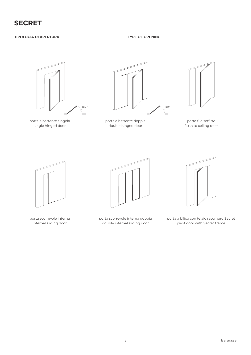# **TIPOLOGIA DI APERTURA TYPE OF OPENING**



porta a battente singola single hinged door



porta a battente doppia double hinged door



porta filo soffitto flush to ceiling door



porta scorrevole interna internal sliding door



porta scorrevole interna doppia double internal sliding door



porta a bilico con telaio rasomuro Secret pivot door with Secret frame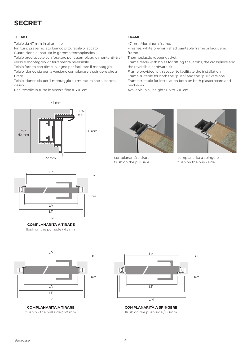### **TELAIO FRAME**

Telaio da 47 mm in alluminio.

Finitura: preverniciato bianco pitturabile o laccato. Guarnizione di battuta in gomma termoplastica.

Telaio predisposto con forature per assemblaggio montanti–traverso e montaggio kit ferramenta reversibile.

Telaio fornito con dime in legno per facilitare il montaggio. Telaio idoneo sia per la versione complanare a spingere che a tirare.

Telaio idoneo sia per il montaggio su muratura che sucartongesso.

Realizzabile in tutte le altezze fino a 300 cm.

47 mm Aluminum frame.

Finishes: white pre-varnished paintable frame or lacquered frame.

Thermoplastic rubber gasket.

Frame ready with holes for fitting the jambs, the crosspiece and the reversible hardware kit.

Frame provided with spacer to facilitate the installation Frame suitable for both the "push" and the "pull" versions. Frame suitable for installation both on both plasterboard and brickwork.

Available in all heights up to 300 cm.





**COMPLANARITÀ A TIRARE** flush on the pull side / 45 mm



**COMPLANARITÀ A TIRARE** flush on the pull side / 60 mm



complanarità a tirare flush on the pull side



complanarità a spingere flush on the push side



**COMPLANARITÀ A SPINGERE** flush on the push side / 60mm